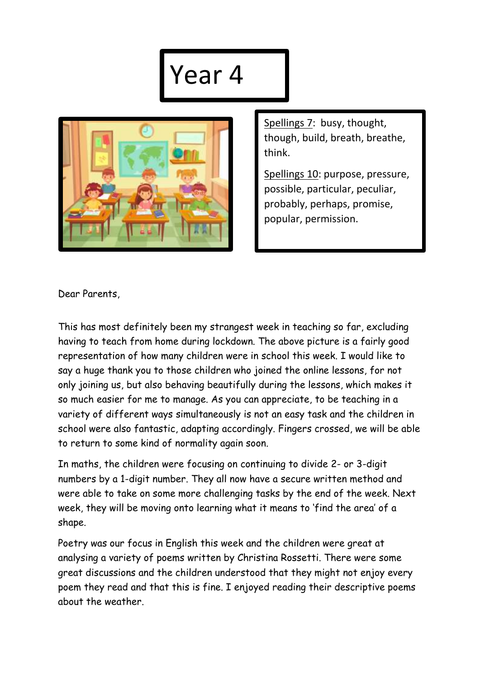## Year 4



Spellings 7: busy, thought, though, build, breath, breathe, think.

Spellings 10: purpose, pressure, possible, particular, peculiar, probably, perhaps, promise, popular, permission.

Dear Parents,

This has most definitely been my strangest week in teaching so far, excluding having to teach from home during lockdown. The above picture is a fairly good representation of how many children were in school this week. I would like to say a huge thank you to those children who joined the online lessons, for not only joining us, but also behaving beautifully during the lessons, which makes it so much easier for me to manage. As you can appreciate, to be teaching in a variety of different ways simultaneously is not an easy task and the children in school were also fantastic, adapting accordingly. Fingers crossed, we will be able to return to some kind of normality again soon.

In maths, the children were focusing on continuing to divide 2- or 3-digit numbers by a 1-digit number. They all now have a secure written method and were able to take on some more challenging tasks by the end of the week. Next week, they will be moving onto learning what it means to 'find the area' of a shape.

Poetry was our focus in English this week and the children were great at analysing a variety of poems written by Christina Rossetti. There were some great discussions and the children understood that they might not enjoy every poem they read and that this is fine. I enjoyed reading their descriptive poems about the weather.